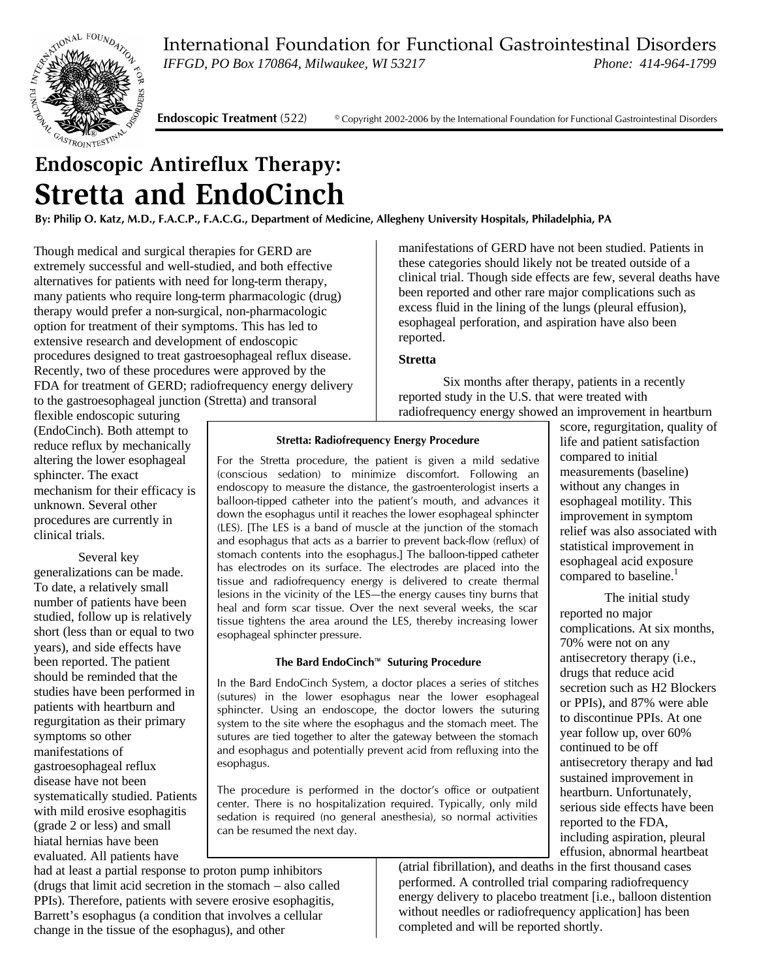International Foundation for Functional Gastrointestinal Disorders *IFFGD, PO Box 170864, Milwaukee, WI 53217 Phone: 414-964-1799*



**Endoscopic Treatment** (522)© Copyright 2002-2006 by the International Foundation for Functional Gastrointestinal Disorders

# **Endoscopic Antireflux Therapy: Stretta and EndoCinch**

**By: Philip O. Katz, M.D., F.A.C.P., F.A.C.G., Department of Medicine, Allegheny University Hospitals, Philadelphia, PA**

Though medical and surgical therapies for GERD are extremely successful and well-studied, and both effective alternatives for patients with need for long-term therapy, many patients who require long-term pharmacologic (drug) therapy would prefer a non-surgical, non-pharmacologic option for treatment of their symptoms. This has led to extensive research and development of endoscopic procedures designed to treat gastroesophageal reflux disease. Recently, two of these procedures were approved by the FDA for treatment of GERD; radiofrequency energy delivery to the gastroesophageal junction (Stretta) and transoral

manifestations of GERD have not been studied. Patients in these categories should likely not be treated outside of a clinical trial. Though side effects are few, several deaths have been reported and other rare major complications such as excess fluid in the lining of the lungs (pleural effusion), esophageal perforation, and aspiration have also been reported.

#### **Stretta**

Six months after therapy, patients in a recently reported study in the U.S. that were treated with radiofrequency energy showed an improvement in heartburn

flexible endoscopic suturing (EndoCinch). Both attempt to reduce reflux by mechanically altering the lower esophageal sphincter. The exact mechanism for their efficacy is unknown. Several other procedures are currently in clinical trials.

Several key generalizations can be made. To date, a relatively small number of patients have been studied, follow up is relatively short (less than or equal to two years), and side effects have been reported. The patient should be reminded that the studies have been performed in patients with heartburn and regurgitation as their primary symptoms so other manifestations of gastroesophageal reflux disease have not been systematically studied. Patients with mild erosive esophagitis (grade 2 or less) and small hiatal hernias have been evaluated. All patients have

**Stretta: Radiofrequency Energy Procedure**

For the Stretta procedure, the patient is given a mild sedative (conscious sedation) to minimize discomfort. Following an endoscopy to measure the distance, the gastroenterologist inserts a balloon-tipped catheter into the patient's mouth, and advances it down the esophagus until it reaches the lower esophageal sphincter (LES). [The LES is a band of muscle at the junction of the stomach and esophagus that acts as a barrier to prevent back-flow (reflux) of stomach contents into the esophagus.] The balloon-tipped catheter has electrodes on its surface. The electrodes are placed into the tissue and radiofrequency energy is delivered to create thermal lesions in the vicinity of the LES—the energy causes tiny burns that heal and form scar tissue. Over the next several weeks, the scar tissue tightens the area around the LES, thereby increasing lower esophageal sphincter pressure.

#### **The Bard EndoCinch™ Suturing Procedure**

In the Bard EndoCinch System, a doctor places a series of stitches (sutures) in the lower esophagus near the lower esophageal sphincter. Using an endoscope, the doctor lowers the suturing system to the site where the esophagus and the stomach meet. The sutures are tied together to alter the gateway between the stomach and esophagus and potentially prevent acid from refluxing into the esophagus.

The procedure is performed in the doctor's office or outpatient center. There is no hospitalization required. Typically, only mild sedation is required (no general anesthesia), so normal activities can be resumed the next day.

had at least a partial response to proton pump inhibitors (drugs that limit acid secretion in the stomach – also called PPIs). Therefore, patients with severe erosive esophagitis, Barrett's esophagus (a condition that involves a cellular change in the tissue of the esophagus), and other

## compared to initial measurements (baseline) without any changes in esophageal motility. This

improvement in symptom relief was also associated with statistical improvement in esophageal acid exposure compared to baseline.<sup>1</sup>

score, regurgitation, quality of life and patient satisfaction

The initial study reported no major complications. At six months, 70% were not on any antisecretory therapy (i.e., drugs that reduce acid secretion such as H2 Blockers or PPIs), and 87% were able to discontinue PPIs. At one year follow up, over 60% continued to be off antisecretory therapy and had sustained improvement in heartburn. Unfortunately, serious side effects have been reported to the FDA, including aspiration, pleural effusion, abnormal heartbeat

(atrial fibrillation), and deaths in the first thousand cases performed. A controlled trial comparing radiofrequency energy delivery to placebo treatment [i.e., balloon distention without needles or radiofrequency application] has been completed and will be reported shortly.